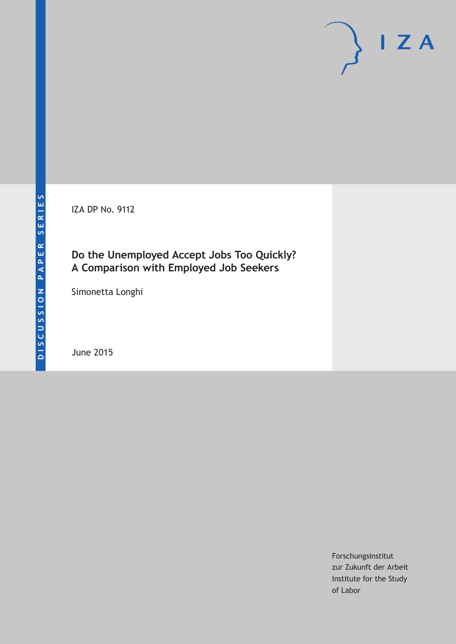IZA DP No. 9112

### **Do the Unemployed Accept Jobs Too Quickly? A Comparison with Employed Job Seekers**

Simonetta Longhi

June 2015

Forschungsinstitut zur Zukunft der Arbeit Institute for the Study of Labor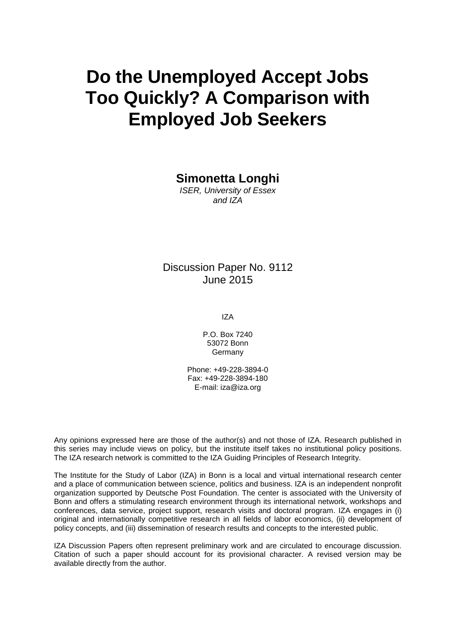# **Do the Unemployed Accept Jobs Too Quickly? A Comparison with Employed Job Seekers**

**Simonetta Longhi**

*ISER, University of Essex and IZA*

Discussion Paper No. 9112 June 2015

IZA

P.O. Box 7240 53072 Bonn Germany

Phone: +49-228-3894-0 Fax: +49-228-3894-180 E-mail: iza@iza.org

Any opinions expressed here are those of the author(s) and not those of IZA. Research published in this series may include views on policy, but the institute itself takes no institutional policy positions. The IZA research network is committed to the IZA Guiding Principles of Research Integrity.

The Institute for the Study of Labor (IZA) in Bonn is a local and virtual international research center and a place of communication between science, politics and business. IZA is an independent nonprofit organization supported by Deutsche Post Foundation. The center is associated with the University of Bonn and offers a stimulating research environment through its international network, workshops and conferences, data service, project support, research visits and doctoral program. IZA engages in (i) original and internationally competitive research in all fields of labor economics, (ii) development of policy concepts, and (iii) dissemination of research results and concepts to the interested public.

<span id="page-1-0"></span>IZA Discussion Papers often represent preliminary work and are circulated to encourage discussion. Citation of such a paper should account for its provisional character. A revised version may be available directly from the author.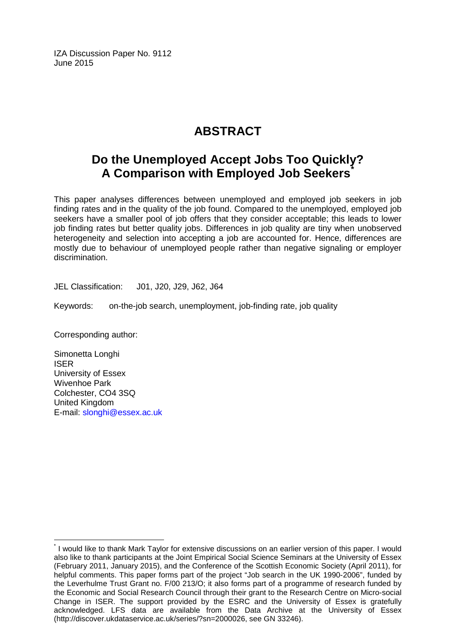IZA Discussion Paper No. 9112 June 2015

# **ABSTRACT**

## **Do the Unemployed Accept Jobs Too Quickly? A Comparison with Employed Job Seekers[\\*](#page-1-0)**

This paper analyses differences between unemployed and employed job seekers in job finding rates and in the quality of the job found. Compared to the unemployed, employed job seekers have a smaller pool of job offers that they consider acceptable; this leads to lower job finding rates but better quality jobs. Differences in job quality are tiny when unobserved heterogeneity and selection into accepting a job are accounted for. Hence, differences are mostly due to behaviour of unemployed people rather than negative signaling or employer discrimination.

JEL Classification: J01, J20, J29, J62, J64

Keywords: on-the-job search, unemployment, job-finding rate, job quality

Corresponding author:

Simonetta Longhi ISER University of Essex Wivenhoe Park Colchester, CO4 3SQ United Kingdom E-mail: [slonghi@essex.ac.uk](mailto:slonghi@essex.ac.uk)

\* I would like to thank Mark Taylor for extensive discussions on an earlier version of this paper. I would also like to thank participants at the Joint Empirical Social Science Seminars at the University of Essex (February 2011, January 2015), and the Conference of the Scottish Economic Society (April 2011), for helpful comments. This paper forms part of the project "Job search in the UK 1990-2006", funded by the Leverhulme Trust Grant no. F/00 213/O; it also forms part of a programme of research funded by the Economic and Social Research Council through their grant to the Research Centre on Micro-social Change in ISER. The support provided by the ESRC and the University of Essex is gratefully acknowledged. LFS data are available from the Data Archive at the University of Essex (http://discover.ukdataservice.ac.uk/series/?sn=2000026, see GN 33246).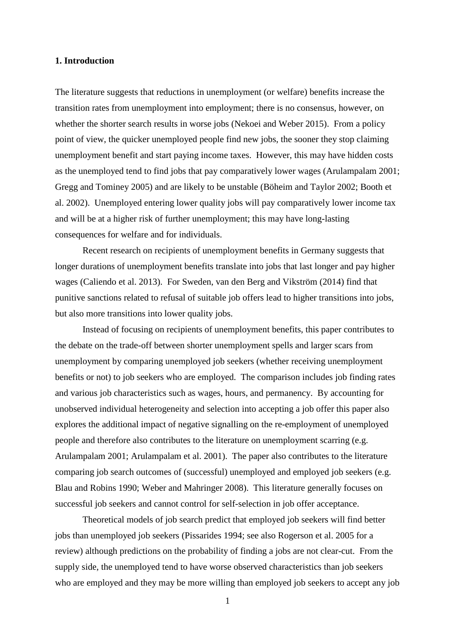#### **1. Introduction**

The literature suggests that reductions in unemployment (or welfare) benefits increase the transition rates from unemployment into employment; there is no consensus, however, on whether the shorter search results in worse jobs (Nekoei and Weber 2015). From a policy point of view, the quicker unemployed people find new jobs, the sooner they stop claiming unemployment benefit and start paying income taxes. However, this may have hidden costs as the unemployed tend to find jobs that pay comparatively lower wages (Arulampalam 2001; Gregg and Tominey 2005) and are likely to be unstable (Böheim and Taylor 2002; Booth et al. 2002). Unemployed entering lower quality jobs will pay comparatively lower income tax and will be at a higher risk of further unemployment; this may have long-lasting consequences for welfare and for individuals.

 Recent research on recipients of unemployment benefits in Germany suggests that longer durations of unemployment benefits translate into jobs that last longer and pay higher wages (Caliendo et al. 2013). For Sweden, van den Berg and Vikström (2014) find that punitive sanctions related to refusal of suitable job offers lead to higher transitions into jobs, but also more transitions into lower quality jobs.

 Instead of focusing on recipients of unemployment benefits, this paper contributes to the debate on the trade-off between shorter unemployment spells and larger scars from unemployment by comparing unemployed job seekers (whether receiving unemployment benefits or not) to job seekers who are employed. The comparison includes job finding rates and various job characteristics such as wages, hours, and permanency. By accounting for unobserved individual heterogeneity and selection into accepting a job offer this paper also explores the additional impact of negative signalling on the re-employment of unemployed people and therefore also contributes to the literature on unemployment scarring (e.g. Arulampalam 2001; Arulampalam et al. 2001). The paper also contributes to the literature comparing job search outcomes of (successful) unemployed and employed job seekers (e.g. Blau and Robins 1990; Weber and Mahringer 2008). This literature generally focuses on successful job seekers and cannot control for self-selection in job offer acceptance.

 Theoretical models of job search predict that employed job seekers will find better jobs than unemployed job seekers (Pissarides 1994; see also Rogerson et al. 2005 for a review) although predictions on the probability of finding a jobs are not clear-cut. From the supply side, the unemployed tend to have worse observed characteristics than job seekers who are employed and they may be more willing than employed job seekers to accept any job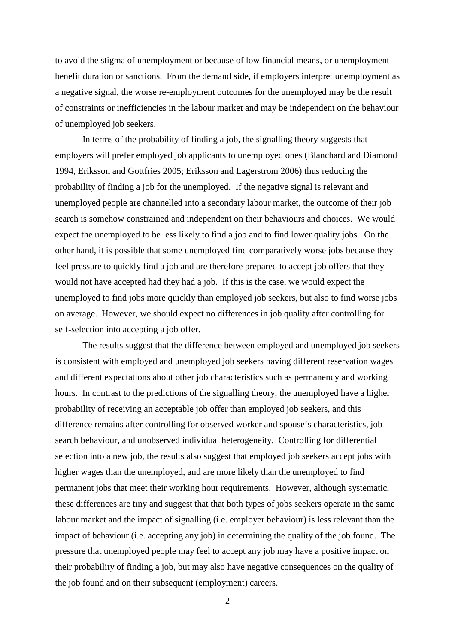to avoid the stigma of unemployment or because of low financial means, or unemployment benefit duration or sanctions. From the demand side, if employers interpret unemployment as a negative signal, the worse re-employment outcomes for the unemployed may be the result of constraints or inefficiencies in the labour market and may be independent on the behaviour of unemployed job seekers.

 In terms of the probability of finding a job, the signalling theory suggests that employers will prefer employed job applicants to unemployed ones (Blanchard and Diamond 1994, Eriksson and Gottfries 2005; Eriksson and Lagerstrom 2006) thus reducing the probability of finding a job for the unemployed. If the negative signal is relevant and unemployed people are channelled into a secondary labour market, the outcome of their job search is somehow constrained and independent on their behaviours and choices. We would expect the unemployed to be less likely to find a job and to find lower quality jobs. On the other hand, it is possible that some unemployed find comparatively worse jobs because they feel pressure to quickly find a job and are therefore prepared to accept job offers that they would not have accepted had they had a job. If this is the case, we would expect the unemployed to find jobs more quickly than employed job seekers, but also to find worse jobs on average. However, we should expect no differences in job quality after controlling for self-selection into accepting a job offer.

 The results suggest that the difference between employed and unemployed job seekers is consistent with employed and unemployed job seekers having different reservation wages and different expectations about other job characteristics such as permanency and working hours. In contrast to the predictions of the signalling theory, the unemployed have a higher probability of receiving an acceptable job offer than employed job seekers, and this difference remains after controlling for observed worker and spouse's characteristics, job search behaviour, and unobserved individual heterogeneity. Controlling for differential selection into a new job, the results also suggest that employed job seekers accept jobs with higher wages than the unemployed, and are more likely than the unemployed to find permanent jobs that meet their working hour requirements. However, although systematic, these differences are tiny and suggest that that both types of jobs seekers operate in the same labour market and the impact of signalling (i.e. employer behaviour) is less relevant than the impact of behaviour (i.e. accepting any job) in determining the quality of the job found. The pressure that unemployed people may feel to accept any job may have a positive impact on their probability of finding a job, but may also have negative consequences on the quality of the job found and on their subsequent (employment) careers.

 $\mathfrak{D}$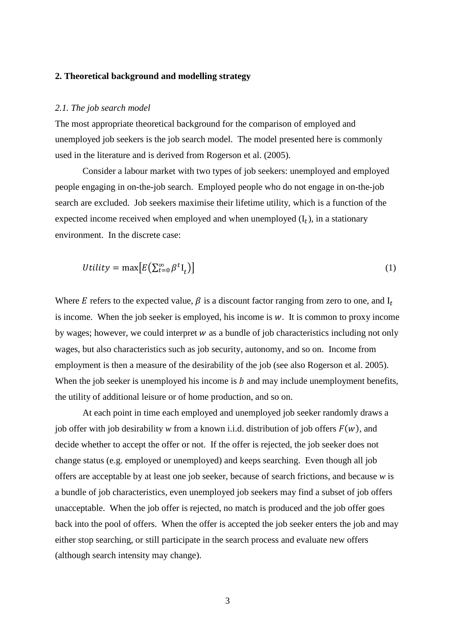#### **2. Theoretical background and modelling strategy**

#### *2.1. The job search model*

The most appropriate theoretical background for the comparison of employed and unemployed job seekers is the job search model. The model presented here is commonly used in the literature and is derived from Rogerson et al. (2005).

 Consider a labour market with two types of job seekers: unemployed and employed people engaging in on-the-job search. Employed people who do not engage in on-the-job search are excluded. Job seekers maximise their lifetime utility, which is a function of the expected income received when employed and when unemployed  $(I_t)$ , in a stationary environment. In the discrete case:

$$
Utility = \max[E(\sum_{t=0}^{\infty} \beta^t I_t)]
$$
\n(1)

Where E refers to the expected value,  $\beta$  is a discount factor ranging from zero to one, and  $I_t$ is income. When the job seeker is employed, his income is  $w$ . It is common to proxy income by wages; however, we could interpret  $w$  as a bundle of job characteristics including not only wages, but also characteristics such as job security, autonomy, and so on. Income from employment is then a measure of the desirability of the job (see also Rogerson et al. 2005). When the job seeker is unemployed his income is  $b$  and may include unemployment benefits, the utility of additional leisure or of home production, and so on.

 At each point in time each employed and unemployed job seeker randomly draws a job offer with job desirability *w* from a known i.i.d. distribution of job offers  $F(w)$ , and decide whether to accept the offer or not. If the offer is rejected, the job seeker does not change status (e.g. employed or unemployed) and keeps searching. Even though all job offers are acceptable by at least one job seeker, because of search frictions, and because *w* is a bundle of job characteristics, even unemployed job seekers may find a subset of job offers unacceptable. When the job offer is rejected, no match is produced and the job offer goes back into the pool of offers. When the offer is accepted the job seeker enters the job and may either stop searching, or still participate in the search process and evaluate new offers (although search intensity may change).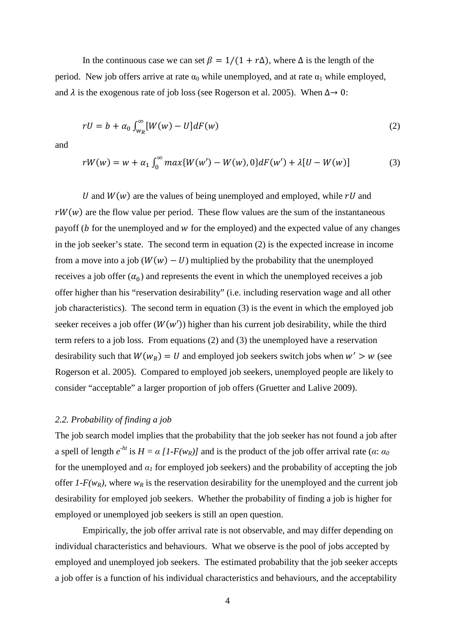In the continuous case we can set  $\beta = 1/(1 + r\Delta)$ , where  $\Delta$  is the length of the period. New job offers arrive at rate  $\alpha_0$  while unemployed, and at rate  $\alpha_1$  while employed, and  $\lambda$  is the exogenous rate of job loss (see Rogerson et al. 2005). When  $\Delta \rightarrow 0$ :

$$
rU = b + \alpha_0 \int_{w_R}^{\infty} [W(w) - U] dF(w) \tag{2}
$$

and

$$
rW(w) = w + \alpha_1 \int_0^{\infty} \max\{W(w') - W(w), 0\} dF(w') + \lambda[U - W(w)] \tag{3}
$$

U and  $W(w)$  are the values of being unemployed and employed, while  $rU$  and  $rW(w)$  are the flow value per period. These flow values are the sum of the instantaneous payoff ( $\boldsymbol{b}$  for the unemployed and  $\boldsymbol{w}$  for the employed) and the expected value of any changes in the job seeker's state. The second term in equation (2) is the expected increase in income from a move into a job ( $W(w) - U$ ) multiplied by the probability that the unemployed receives a job offer  $(\alpha_0)$  and represents the event in which the unemployed receives a job offer higher than his "reservation desirability" (i.e. including reservation wage and all other job characteristics). The second term in equation (3) is the event in which the employed job seeker receives a job offer  $(W(w'))$  higher than his current job desirability, while the third term refers to a job loss. From equations (2) and (3) the unemployed have a reservation desirability such that  $W(w_R) = U$  and employed job seekers switch jobs when  $w' > w$  (see Rogerson et al. 2005). Compared to employed job seekers, unemployed people are likely to consider "acceptable" a larger proportion of job offers (Gruetter and Lalive 2009).

#### *2.2. Probability of finding a job*

The job search model implies that the probability that the job seeker has not found a job after a spell of length  $e^{-ht}$  is  $H = \alpha \left[1 - F(w_R)\right]$  and is the product of the job offer arrival rate ( $\alpha$ :  $\alpha_0$ for the unemployed and  $\alpha_l$  for employed job seekers) and the probability of accepting the job offer  $1-F(w_R)$ , where  $w_R$  is the reservation desirability for the unemployed and the current job desirability for employed job seekers. Whether the probability of finding a job is higher for employed or unemployed job seekers is still an open question.

 Empirically, the job offer arrival rate is not observable, and may differ depending on individual characteristics and behaviours. What we observe is the pool of jobs accepted by employed and unemployed job seekers. The estimated probability that the job seeker accepts a job offer is a function of his individual characteristics and behaviours, and the acceptability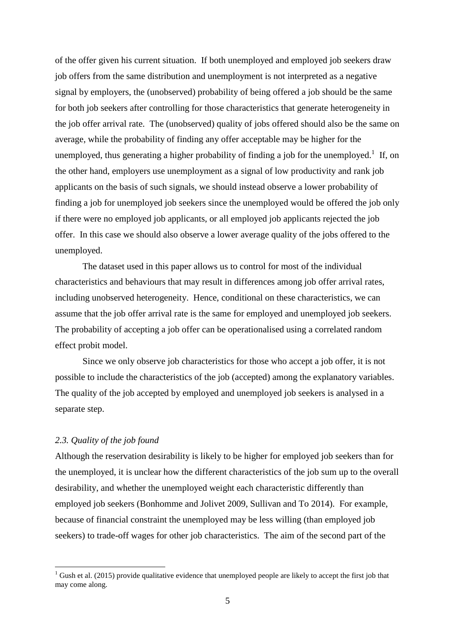of the offer given his current situation. If both unemployed and employed job seekers draw job offers from the same distribution and unemployment is not interpreted as a negative signal by employers, the (unobserved) probability of being offered a job should be the same for both job seekers after controlling for those characteristics that generate heterogeneity in the job offer arrival rate. The (unobserved) quality of jobs offered should also be the same on average, while the probability of finding any offer acceptable may be higher for the unemployed, thus generating a higher probability of finding a job for the unemployed.<sup>1</sup> If, on the other hand, employers use unemployment as a signal of low productivity and rank job applicants on the basis of such signals, we should instead observe a lower probability of finding a job for unemployed job seekers since the unemployed would be offered the job only if there were no employed job applicants, or all employed job applicants rejected the job offer. In this case we should also observe a lower average quality of the jobs offered to the unemployed.

 The dataset used in this paper allows us to control for most of the individual characteristics and behaviours that may result in differences among job offer arrival rates, including unobserved heterogeneity. Hence, conditional on these characteristics, we can assume that the job offer arrival rate is the same for employed and unemployed job seekers. The probability of accepting a job offer can be operationalised using a correlated random effect probit model.

 Since we only observe job characteristics for those who accept a job offer, it is not possible to include the characteristics of the job (accepted) among the explanatory variables. The quality of the job accepted by employed and unemployed job seekers is analysed in a separate step.

#### *2.3. Quality of the job found*

 $\overline{a}$ 

Although the reservation desirability is likely to be higher for employed job seekers than for the unemployed, it is unclear how the different characteristics of the job sum up to the overall desirability, and whether the unemployed weight each characteristic differently than employed job seekers (Bonhomme and Jolivet 2009, Sullivan and To 2014). For example, because of financial constraint the unemployed may be less willing (than employed job seekers) to trade-off wages for other job characteristics. The aim of the second part of the

 $1$  Gush et al. (2015) provide qualitative evidence that unemployed people are likely to accept the first job that may come along.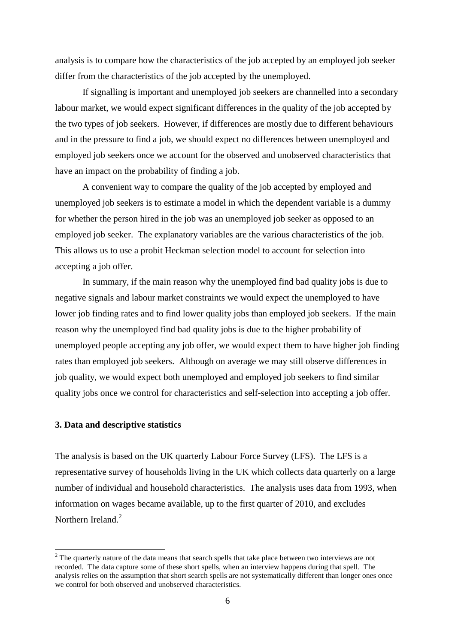analysis is to compare how the characteristics of the job accepted by an employed job seeker differ from the characteristics of the job accepted by the unemployed.

 If signalling is important and unemployed job seekers are channelled into a secondary labour market, we would expect significant differences in the quality of the job accepted by the two types of job seekers. However, if differences are mostly due to different behaviours and in the pressure to find a job, we should expect no differences between unemployed and employed job seekers once we account for the observed and unobserved characteristics that have an impact on the probability of finding a job.

 A convenient way to compare the quality of the job accepted by employed and unemployed job seekers is to estimate a model in which the dependent variable is a dummy for whether the person hired in the job was an unemployed job seeker as opposed to an employed job seeker. The explanatory variables are the various characteristics of the job. This allows us to use a probit Heckman selection model to account for selection into accepting a job offer.

 In summary, if the main reason why the unemployed find bad quality jobs is due to negative signals and labour market constraints we would expect the unemployed to have lower job finding rates and to find lower quality jobs than employed job seekers. If the main reason why the unemployed find bad quality jobs is due to the higher probability of unemployed people accepting any job offer, we would expect them to have higher job finding rates than employed job seekers. Although on average we may still observe differences in job quality, we would expect both unemployed and employed job seekers to find similar quality jobs once we control for characteristics and self-selection into accepting a job offer.

#### **3. Data and descriptive statistics**

 $\overline{a}$ 

The analysis is based on the UK quarterly Labour Force Survey (LFS). The LFS is a representative survey of households living in the UK which collects data quarterly on a large number of individual and household characteristics. The analysis uses data from 1993, when information on wages became available, up to the first quarter of 2010, and excludes Northern Ireland.<sup>2</sup>

 $2<sup>2</sup>$  The quarterly nature of the data means that search spells that take place between two interviews are not recorded. The data capture some of these short spells, when an interview happens during that spell. The analysis relies on the assumption that short search spells are not systematically different than longer ones once we control for both observed and unobserved characteristics.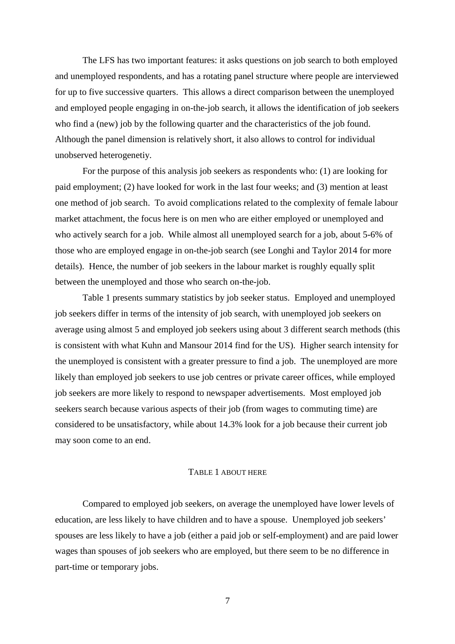The LFS has two important features: it asks questions on job search to both employed and unemployed respondents, and has a rotating panel structure where people are interviewed for up to five successive quarters. This allows a direct comparison between the unemployed and employed people engaging in on-the-job search, it allows the identification of job seekers who find a (new) job by the following quarter and the characteristics of the job found. Although the panel dimension is relatively short, it also allows to control for individual unobserved heterogenetiy.

 For the purpose of this analysis job seekers as respondents who: (1) are looking for paid employment; (2) have looked for work in the last four weeks; and (3) mention at least one method of job search. To avoid complications related to the complexity of female labour market attachment, the focus here is on men who are either employed or unemployed and who actively search for a job. While almost all unemployed search for a job, about 5-6% of those who are employed engage in on-the-job search (see Longhi and Taylor 2014 for more details). Hence, the number of job seekers in the labour market is roughly equally split between the unemployed and those who search on-the-job.

 Table 1 presents summary statistics by job seeker status. Employed and unemployed job seekers differ in terms of the intensity of job search, with unemployed job seekers on average using almost 5 and employed job seekers using about 3 different search methods (this is consistent with what Kuhn and Mansour 2014 find for the US). Higher search intensity for the unemployed is consistent with a greater pressure to find a job. The unemployed are more likely than employed job seekers to use job centres or private career offices, while employed job seekers are more likely to respond to newspaper advertisements. Most employed job seekers search because various aspects of their job (from wages to commuting time) are considered to be unsatisfactory, while about 14.3% look for a job because their current job may soon come to an end.

#### TABLE 1 ABOUT HERE

 Compared to employed job seekers, on average the unemployed have lower levels of education, are less likely to have children and to have a spouse. Unemployed job seekers' spouses are less likely to have a job (either a paid job or self-employment) and are paid lower wages than spouses of job seekers who are employed, but there seem to be no difference in part-time or temporary jobs.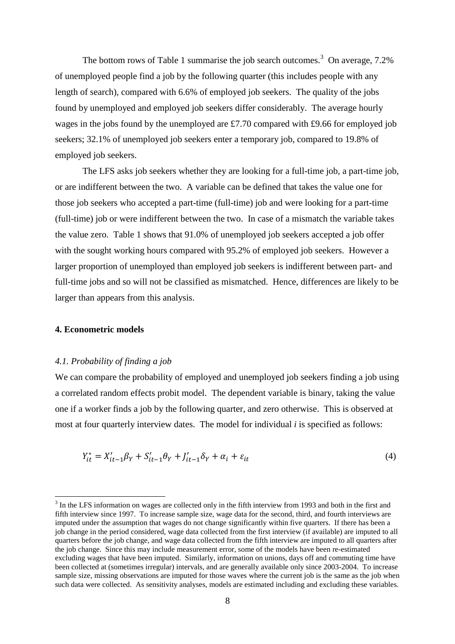The bottom rows of Table 1 summarise the job search outcomes.<sup>3</sup> On average,  $7.2\%$ of unemployed people find a job by the following quarter (this includes people with any length of search), compared with 6.6% of employed job seekers. The quality of the jobs found by unemployed and employed job seekers differ considerably. The average hourly wages in the jobs found by the unemployed are £7.70 compared with £9.66 for employed job seekers; 32.1% of unemployed job seekers enter a temporary job, compared to 19.8% of employed job seekers.

 The LFS asks job seekers whether they are looking for a full-time job, a part-time job, or are indifferent between the two. A variable can be defined that takes the value one for those job seekers who accepted a part-time (full-time) job and were looking for a part-time (full-time) job or were indifferent between the two. In case of a mismatch the variable takes the value zero. Table 1 shows that 91.0% of unemployed job seekers accepted a job offer with the sought working hours compared with 95.2% of employed job seekers. However a larger proportion of unemployed than employed job seekers is indifferent between part- and full-time jobs and so will not be classified as mismatched. Hence, differences are likely to be larger than appears from this analysis.

#### **4. Econometric models**

 $\overline{a}$ 

#### *4.1. Probability of finding a job*

We can compare the probability of employed and unemployed job seekers finding a job using a correlated random effects probit model. The dependent variable is binary, taking the value one if a worker finds a job by the following quarter, and zero otherwise. This is observed at most at four quarterly interview dates. The model for individual *i* is specified as follows:

$$
Y_{it}^* = X_{it-1}'\beta_Y + S_{it-1}'\theta_Y + J_{it-1}'\delta_Y + \alpha_i + \varepsilon_{it}
$$
\n(4)

 $3$  In the LFS information on wages are collected only in the fifth interview from 1993 and both in the first and fifth interview since 1997. To increase sample size, wage data for the second, third, and fourth interviews are imputed under the assumption that wages do not change significantly within five quarters. If there has been a job change in the period considered, wage data collected from the first interview (if available) are imputed to all quarters before the job change, and wage data collected from the fifth interview are imputed to all quarters after the job change. Since this may include measurement error, some of the models have been re-estimated excluding wages that have been imputed. Similarly, information on unions, days off and commuting time have been collected at (sometimes irregular) intervals, and are generally available only since 2003-2004. To increase sample size, missing observations are imputed for those waves where the current job is the same as the job when such data were collected. As sensitivity analyses, models are estimated including and excluding these variables.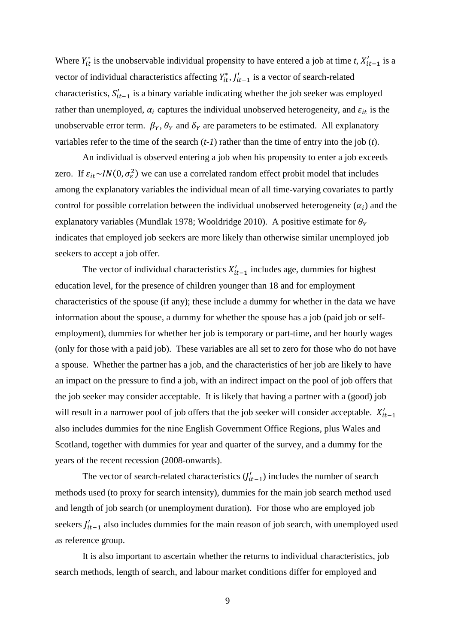Where  $Y_{it}^*$  is the unobservable individual propensity to have entered a job at time *t*,  $X'_{it-1}$  is a vector of individual characteristics affecting  $Y_{it}^*$ ,  $J'_{it-1}$  is a vector of search-related characteristics,  $S'_{it-1}$  is a binary variable indicating whether the job seeker was employed rather than unemployed,  $\alpha_i$  captures the individual unobserved heterogeneity, and  $\varepsilon_{it}$  is the unobservable error term.  $\beta_Y$ ,  $\theta_Y$  and  $\delta_Y$  are parameters to be estimated. All explanatory variables refer to the time of the search (*t-1*) rather than the time of entry into the job (*t*).

 An individual is observed entering a job when his propensity to enter a job exceeds zero. If  $\varepsilon_{it} \sim IN(0, \sigma_{\varepsilon}^2)$  we can use a correlated random effect probit model that includes among the explanatory variables the individual mean of all time-varying covariates to partly control for possible correlation between the individual unobserved heterogeneity  $(\alpha_i)$  and the explanatory variables (Mundlak 1978; Wooldridge 2010). A positive estimate for  $\theta_Y$ indicates that employed job seekers are more likely than otherwise similar unemployed job seekers to accept a job offer.

The vector of individual characteristics  $X'_{it-1}$  includes age, dummies for highest education level, for the presence of children younger than 18 and for employment characteristics of the spouse (if any); these include a dummy for whether in the data we have information about the spouse, a dummy for whether the spouse has a job (paid job or selfemployment), dummies for whether her job is temporary or part-time, and her hourly wages (only for those with a paid job). These variables are all set to zero for those who do not have a spouse. Whether the partner has a job, and the characteristics of her job are likely to have an impact on the pressure to find a job, with an indirect impact on the pool of job offers that the job seeker may consider acceptable. It is likely that having a partner with a (good) job will result in a narrower pool of job offers that the job seeker will consider acceptable.  $X'_{it-1}$ also includes dummies for the nine English Government Office Regions, plus Wales and Scotland, together with dummies for year and quarter of the survey, and a dummy for the years of the recent recession (2008-onwards).

The vector of search-related characteristics  $(J'_{it-1})$  includes the number of search methods used (to proxy for search intensity), dummies for the main job search method used and length of job search (or unemployment duration). For those who are employed job seekers  $J'_{it-1}$  also includes dummies for the main reason of job search, with unemployed used as reference group.

 It is also important to ascertain whether the returns to individual characteristics, job search methods, length of search, and labour market conditions differ for employed and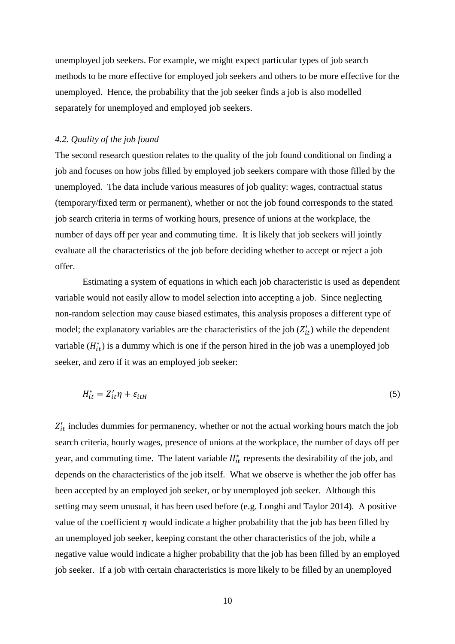unemployed job seekers. For example, we might expect particular types of job search methods to be more effective for employed job seekers and others to be more effective for the unemployed. Hence, the probability that the job seeker finds a job is also modelled separately for unemployed and employed job seekers.

#### *4.2. Quality of the job found*

The second research question relates to the quality of the job found conditional on finding a job and focuses on how jobs filled by employed job seekers compare with those filled by the unemployed. The data include various measures of job quality: wages, contractual status (temporary/fixed term or permanent), whether or not the job found corresponds to the stated job search criteria in terms of working hours, presence of unions at the workplace, the number of days off per year and commuting time. It is likely that job seekers will jointly evaluate all the characteristics of the job before deciding whether to accept or reject a job offer.

 Estimating a system of equations in which each job characteristic is used as dependent variable would not easily allow to model selection into accepting a job. Since neglecting non-random selection may cause biased estimates, this analysis proposes a different type of model; the explanatory variables are the characteristics of the job  $(Z'_{it})$  while the dependent variable  $(H_{it}^*)$  is a dummy which is one if the person hired in the job was a unemployed job seeker, and zero if it was an employed job seeker:

$$
H_{it}^* = Z_{it}' \eta + \varepsilon_{itH} \tag{5}
$$

 $Z'_{it}$  includes dummies for permanency, whether or not the actual working hours match the job search criteria, hourly wages, presence of unions at the workplace, the number of days off per year, and commuting time. The latent variable  $H_{it}^*$  represents the desirability of the job, and depends on the characteristics of the job itself. What we observe is whether the job offer has been accepted by an employed job seeker, or by unemployed job seeker. Although this setting may seem unusual, it has been used before (e.g. Longhi and Taylor 2014). A positive value of the coefficient  $\eta$  would indicate a higher probability that the job has been filled by an unemployed job seeker, keeping constant the other characteristics of the job, while a negative value would indicate a higher probability that the job has been filled by an employed job seeker. If a job with certain characteristics is more likely to be filled by an unemployed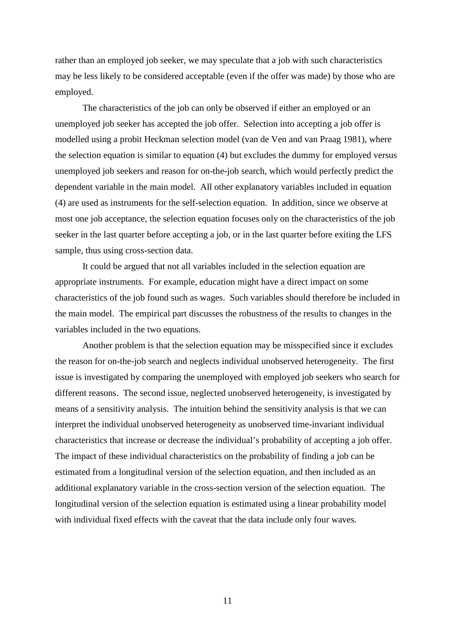rather than an employed job seeker, we may speculate that a job with such characteristics may be less likely to be considered acceptable (even if the offer was made) by those who are employed.

 The characteristics of the job can only be observed if either an employed or an unemployed job seeker has accepted the job offer. Selection into accepting a job offer is modelled using a probit Heckman selection model (van de Ven and van Praag 1981), where the selection equation is similar to equation (4) but excludes the dummy for employed versus unemployed job seekers and reason for on-the-job search, which would perfectly predict the dependent variable in the main model. All other explanatory variables included in equation (4) are used as instruments for the self-selection equation. In addition, since we observe at most one job acceptance, the selection equation focuses only on the characteristics of the job seeker in the last quarter before accepting a job, or in the last quarter before exiting the LFS sample, thus using cross-section data.

 It could be argued that not all variables included in the selection equation are appropriate instruments. For example, education might have a direct impact on some characteristics of the job found such as wages. Such variables should therefore be included in the main model. The empirical part discusses the robustness of the results to changes in the variables included in the two equations.

 Another problem is that the selection equation may be misspecified since it excludes the reason for on-the-job search and neglects individual unobserved heterogeneity. The first issue is investigated by comparing the unemployed with employed job seekers who search for different reasons. The second issue, neglected unobserved heterogeneity, is investigated by means of a sensitivity analysis. The intuition behind the sensitivity analysis is that we can interpret the individual unobserved heterogeneity as unobserved time-invariant individual characteristics that increase or decrease the individual's probability of accepting a job offer. The impact of these individual characteristics on the probability of finding a job can be estimated from a longitudinal version of the selection equation, and then included as an additional explanatory variable in the cross-section version of the selection equation. The longitudinal version of the selection equation is estimated using a linear probability model with individual fixed effects with the caveat that the data include only four waves.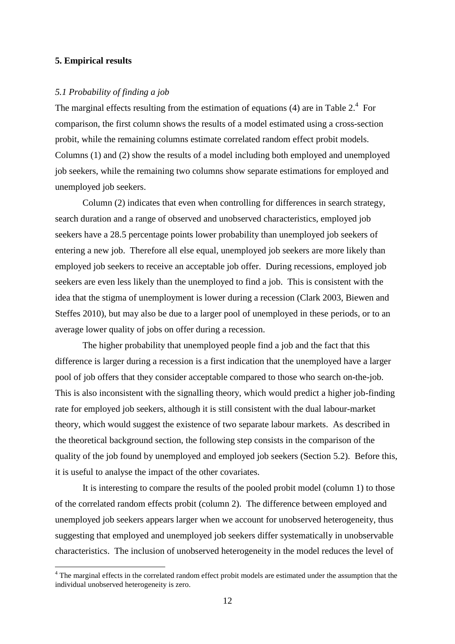#### **5. Empirical results**

#### *5.1 Probability of finding a job*

The marginal effects resulting from the estimation of equations (4) are in Table  $2<sup>4</sup>$  For comparison, the first column shows the results of a model estimated using a cross-section probit, while the remaining columns estimate correlated random effect probit models. Columns (1) and (2) show the results of a model including both employed and unemployed job seekers, while the remaining two columns show separate estimations for employed and unemployed job seekers.

 Column (2) indicates that even when controlling for differences in search strategy, search duration and a range of observed and unobserved characteristics, employed job seekers have a 28.5 percentage points lower probability than unemployed job seekers of entering a new job. Therefore all else equal, unemployed job seekers are more likely than employed job seekers to receive an acceptable job offer. During recessions, employed job seekers are even less likely than the unemployed to find a job. This is consistent with the idea that the stigma of unemployment is lower during a recession (Clark 2003, Biewen and Steffes 2010), but may also be due to a larger pool of unemployed in these periods, or to an average lower quality of jobs on offer during a recession.

 The higher probability that unemployed people find a job and the fact that this difference is larger during a recession is a first indication that the unemployed have a larger pool of job offers that they consider acceptable compared to those who search on-the-job. This is also inconsistent with the signalling theory, which would predict a higher job-finding rate for employed job seekers, although it is still consistent with the dual labour-market theory, which would suggest the existence of two separate labour markets. As described in the theoretical background section, the following step consists in the comparison of the quality of the job found by unemployed and employed job seekers (Section 5.2). Before this, it is useful to analyse the impact of the other covariates.

 It is interesting to compare the results of the pooled probit model (column 1) to those of the correlated random effects probit (column 2). The difference between employed and unemployed job seekers appears larger when we account for unobserved heterogeneity, thus suggesting that employed and unemployed job seekers differ systematically in unobservable characteristics. The inclusion of unobserved heterogeneity in the model reduces the level of

<sup>&</sup>lt;sup>4</sup> The marginal effects in the correlated random effect probit models are estimated under the assumption that the individual unobserved heterogeneity is zero.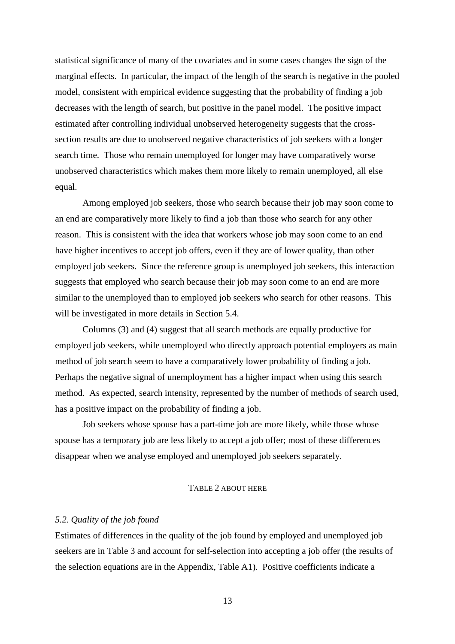statistical significance of many of the covariates and in some cases changes the sign of the marginal effects. In particular, the impact of the length of the search is negative in the pooled model, consistent with empirical evidence suggesting that the probability of finding a job decreases with the length of search, but positive in the panel model. The positive impact estimated after controlling individual unobserved heterogeneity suggests that the crosssection results are due to unobserved negative characteristics of job seekers with a longer search time. Those who remain unemployed for longer may have comparatively worse unobserved characteristics which makes them more likely to remain unemployed, all else equal.

 Among employed job seekers, those who search because their job may soon come to an end are comparatively more likely to find a job than those who search for any other reason. This is consistent with the idea that workers whose job may soon come to an end have higher incentives to accept job offers, even if they are of lower quality, than other employed job seekers. Since the reference group is unemployed job seekers, this interaction suggests that employed who search because their job may soon come to an end are more similar to the unemployed than to employed job seekers who search for other reasons. This will be investigated in more details in Section 5.4.

 Columns (3) and (4) suggest that all search methods are equally productive for employed job seekers, while unemployed who directly approach potential employers as main method of job search seem to have a comparatively lower probability of finding a job. Perhaps the negative signal of unemployment has a higher impact when using this search method. As expected, search intensity, represented by the number of methods of search used, has a positive impact on the probability of finding a job.

 Job seekers whose spouse has a part-time job are more likely, while those whose spouse has a temporary job are less likely to accept a job offer; most of these differences disappear when we analyse employed and unemployed job seekers separately.

#### TABLE 2 ABOUT HERE

#### *5.2. Quality of the job found*

Estimates of differences in the quality of the job found by employed and unemployed job seekers are in Table 3 and account for self-selection into accepting a job offer (the results of the selection equations are in the Appendix, Table A1). Positive coefficients indicate a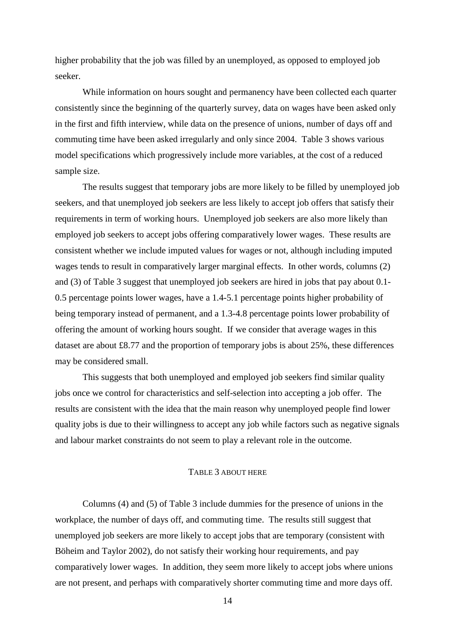higher probability that the job was filled by an unemployed, as opposed to employed job seeker.

 While information on hours sought and permanency have been collected each quarter consistently since the beginning of the quarterly survey, data on wages have been asked only in the first and fifth interview, while data on the presence of unions, number of days off and commuting time have been asked irregularly and only since 2004. Table 3 shows various model specifications which progressively include more variables, at the cost of a reduced sample size.

 The results suggest that temporary jobs are more likely to be filled by unemployed job seekers, and that unemployed job seekers are less likely to accept job offers that satisfy their requirements in term of working hours. Unemployed job seekers are also more likely than employed job seekers to accept jobs offering comparatively lower wages. These results are consistent whether we include imputed values for wages or not, although including imputed wages tends to result in comparatively larger marginal effects. In other words, columns (2) and (3) of Table 3 suggest that unemployed job seekers are hired in jobs that pay about 0.1- 0.5 percentage points lower wages, have a 1.4-5.1 percentage points higher probability of being temporary instead of permanent, and a 1.3-4.8 percentage points lower probability of offering the amount of working hours sought. If we consider that average wages in this dataset are about £8.77 and the proportion of temporary jobs is about 25%, these differences may be considered small.

 This suggests that both unemployed and employed job seekers find similar quality jobs once we control for characteristics and self-selection into accepting a job offer. The results are consistent with the idea that the main reason why unemployed people find lower quality jobs is due to their willingness to accept any job while factors such as negative signals and labour market constraints do not seem to play a relevant role in the outcome.

#### TABLE 3 ABOUT HERE

 Columns (4) and (5) of Table 3 include dummies for the presence of unions in the workplace, the number of days off, and commuting time. The results still suggest that unemployed job seekers are more likely to accept jobs that are temporary (consistent with Böheim and Taylor 2002), do not satisfy their working hour requirements, and pay comparatively lower wages. In addition, they seem more likely to accept jobs where unions are not present, and perhaps with comparatively shorter commuting time and more days off.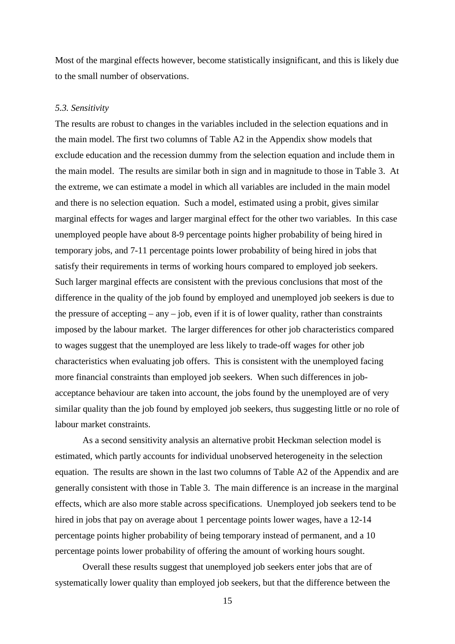Most of the marginal effects however, become statistically insignificant, and this is likely due to the small number of observations.

#### *5.3. Sensitivity*

The results are robust to changes in the variables included in the selection equations and in the main model. The first two columns of Table A2 in the Appendix show models that exclude education and the recession dummy from the selection equation and include them in the main model. The results are similar both in sign and in magnitude to those in Table 3. At the extreme, we can estimate a model in which all variables are included in the main model and there is no selection equation. Such a model, estimated using a probit, gives similar marginal effects for wages and larger marginal effect for the other two variables. In this case unemployed people have about 8-9 percentage points higher probability of being hired in temporary jobs, and 7-11 percentage points lower probability of being hired in jobs that satisfy their requirements in terms of working hours compared to employed job seekers. Such larger marginal effects are consistent with the previous conclusions that most of the difference in the quality of the job found by employed and unemployed job seekers is due to the pressure of accepting – any – job, even if it is of lower quality, rather than constraints imposed by the labour market. The larger differences for other job characteristics compared to wages suggest that the unemployed are less likely to trade-off wages for other job characteristics when evaluating job offers. This is consistent with the unemployed facing more financial constraints than employed job seekers. When such differences in jobacceptance behaviour are taken into account, the jobs found by the unemployed are of very similar quality than the job found by employed job seekers, thus suggesting little or no role of labour market constraints.

 As a second sensitivity analysis an alternative probit Heckman selection model is estimated, which partly accounts for individual unobserved heterogeneity in the selection equation. The results are shown in the last two columns of Table A2 of the Appendix and are generally consistent with those in Table 3. The main difference is an increase in the marginal effects, which are also more stable across specifications. Unemployed job seekers tend to be hired in jobs that pay on average about 1 percentage points lower wages, have a 12-14 percentage points higher probability of being temporary instead of permanent, and a 10 percentage points lower probability of offering the amount of working hours sought.

 Overall these results suggest that unemployed job seekers enter jobs that are of systematically lower quality than employed job seekers, but that the difference between the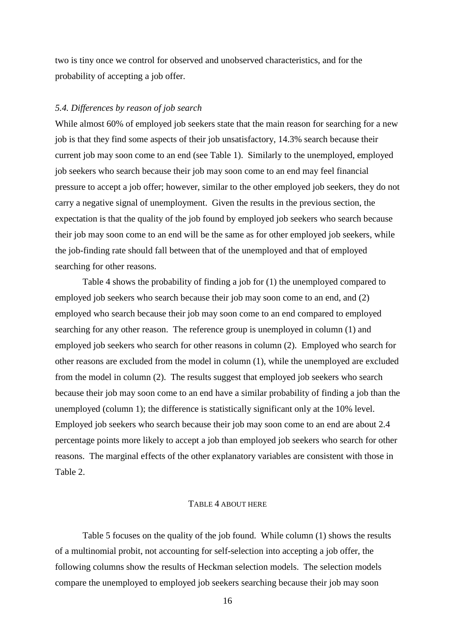two is tiny once we control for observed and unobserved characteristics, and for the probability of accepting a job offer.

#### *5.4. Differences by reason of job search*

While almost 60% of employed job seekers state that the main reason for searching for a new job is that they find some aspects of their job unsatisfactory, 14.3% search because their current job may soon come to an end (see Table 1). Similarly to the unemployed, employed job seekers who search because their job may soon come to an end may feel financial pressure to accept a job offer; however, similar to the other employed job seekers, they do not carry a negative signal of unemployment. Given the results in the previous section, the expectation is that the quality of the job found by employed job seekers who search because their job may soon come to an end will be the same as for other employed job seekers, while the job-finding rate should fall between that of the unemployed and that of employed searching for other reasons.

 Table 4 shows the probability of finding a job for (1) the unemployed compared to employed job seekers who search because their job may soon come to an end, and (2) employed who search because their job may soon come to an end compared to employed searching for any other reason. The reference group is unemployed in column (1) and employed job seekers who search for other reasons in column (2). Employed who search for other reasons are excluded from the model in column (1), while the unemployed are excluded from the model in column (2). The results suggest that employed job seekers who search because their job may soon come to an end have a similar probability of finding a job than the unemployed (column 1); the difference is statistically significant only at the 10% level. Employed job seekers who search because their job may soon come to an end are about 2.4 percentage points more likely to accept a job than employed job seekers who search for other reasons. The marginal effects of the other explanatory variables are consistent with those in Table 2.

#### TABLE 4 ABOUT HERE

 Table 5 focuses on the quality of the job found. While column (1) shows the results of a multinomial probit, not accounting for self-selection into accepting a job offer, the following columns show the results of Heckman selection models. The selection models compare the unemployed to employed job seekers searching because their job may soon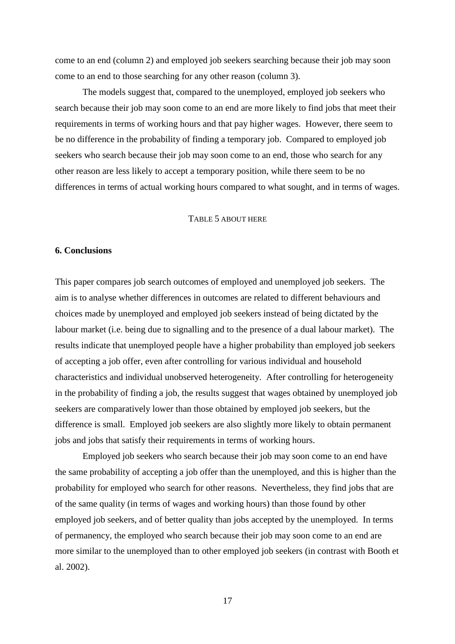come to an end (column 2) and employed job seekers searching because their job may soon come to an end to those searching for any other reason (column 3).

 The models suggest that, compared to the unemployed, employed job seekers who search because their job may soon come to an end are more likely to find jobs that meet their requirements in terms of working hours and that pay higher wages. However, there seem to be no difference in the probability of finding a temporary job. Compared to employed job seekers who search because their job may soon come to an end, those who search for any other reason are less likely to accept a temporary position, while there seem to be no differences in terms of actual working hours compared to what sought, and in terms of wages.

#### TABLE 5 ABOUT HERE

#### **6. Conclusions**

This paper compares job search outcomes of employed and unemployed job seekers. The aim is to analyse whether differences in outcomes are related to different behaviours and choices made by unemployed and employed job seekers instead of being dictated by the labour market (i.e. being due to signalling and to the presence of a dual labour market). The results indicate that unemployed people have a higher probability than employed job seekers of accepting a job offer, even after controlling for various individual and household characteristics and individual unobserved heterogeneity. After controlling for heterogeneity in the probability of finding a job, the results suggest that wages obtained by unemployed job seekers are comparatively lower than those obtained by employed job seekers, but the difference is small. Employed job seekers are also slightly more likely to obtain permanent jobs and jobs that satisfy their requirements in terms of working hours.

 Employed job seekers who search because their job may soon come to an end have the same probability of accepting a job offer than the unemployed, and this is higher than the probability for employed who search for other reasons. Nevertheless, they find jobs that are of the same quality (in terms of wages and working hours) than those found by other employed job seekers, and of better quality than jobs accepted by the unemployed. In terms of permanency, the employed who search because their job may soon come to an end are more similar to the unemployed than to other employed job seekers (in contrast with Booth et al. 2002).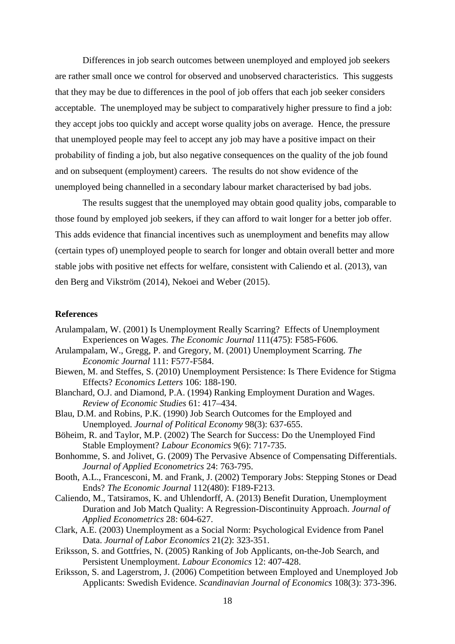Differences in job search outcomes between unemployed and employed job seekers are rather small once we control for observed and unobserved characteristics. This suggests that they may be due to differences in the pool of job offers that each job seeker considers acceptable. The unemployed may be subject to comparatively higher pressure to find a job: they accept jobs too quickly and accept worse quality jobs on average. Hence, the pressure that unemployed people may feel to accept any job may have a positive impact on their probability of finding a job, but also negative consequences on the quality of the job found and on subsequent (employment) careers. The results do not show evidence of the unemployed being channelled in a secondary labour market characterised by bad jobs.

 The results suggest that the unemployed may obtain good quality jobs, comparable to those found by employed job seekers, if they can afford to wait longer for a better job offer. This adds evidence that financial incentives such as unemployment and benefits may allow (certain types of) unemployed people to search for longer and obtain overall better and more stable jobs with positive net effects for welfare, consistent with Caliendo et al. (2013), van den Berg and Vikström (2014), Nekoei and Weber (2015).

#### **References**

- Arulampalam, W. (2001) Is Unemployment Really Scarring? Effects of Unemployment Experiences on Wages. *The Economic Journal* 111(475): F585-F606.
- Arulampalam, W., Gregg, P. and Gregory, M. (2001) Unemployment Scarring. *The Economic Journal* 111: F577-F584.
- Biewen, M. and Steffes, S. (2010) Unemployment Persistence: Is There Evidence for Stigma Effects? *Economics Letters* 106: 188-190.
- Blanchard, O.J. and Diamond, P.A. (1994) Ranking Employment Duration and Wages. *Review of Economic Studies* 61: 417–434.
- Blau, D.M. and Robins, P.K. (1990) Job Search Outcomes for the Employed and Unemployed. *Journal of Political Economy* 98(3): 637-655.
- Böheim, R. and Taylor, M.P. (2002) The Search for Success: Do the Unemployed Find Stable Employment? *Labour Economics* 9(6): 717-735.
- Bonhomme, S. and Jolivet, G. (2009) The Pervasive Absence of Compensating Differentials. *Journal of Applied Econometrics* 24: 763-795.
- Booth, A.L., Francesconi, M. and Frank, J. (2002) Temporary Jobs: Stepping Stones or Dead Ends? *The Economic Journal* 112(480): F189-F213.
- Caliendo, M., Tatsiramos, K. and Uhlendorff, A. (2013) Benefit Duration, Unemployment Duration and Job Match Quality: A Regression-Discontinuity Approach. *Journal of Applied Econometrics* 28: 604-627.
- Clark, A.E. (2003) Unemployment as a Social Norm: Psychological Evidence from Panel Data. *Journal of Labor Economics* 21(2): 323-351.
- Eriksson, S. and Gottfries, N. (2005) Ranking of Job Applicants, on-the-Job Search, and Persistent Unemployment. *Labour Economics* 12: 407-428.
- Eriksson, S. and Lagerstrom, J. (2006) Competition between Employed and Unemployed Job Applicants: Swedish Evidence. *Scandinavian Journal of Economics* 108(3): 373-396.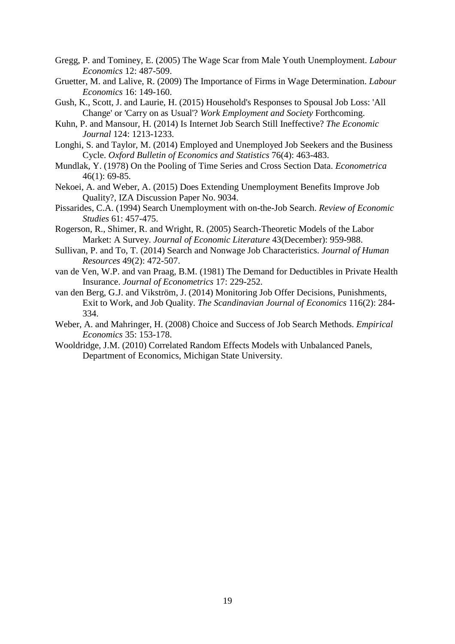- Gregg, P. and Tominey, E. (2005) The Wage Scar from Male Youth Unemployment. *Labour Economics* 12: 487-509.
- Gruetter, M. and Lalive, R. (2009) The Importance of Firms in Wage Determination. *Labour Economics* 16: 149-160.
- Gush, K., Scott, J. and Laurie, H. (2015) Household's Responses to Spousal Job Loss: 'All Change' or 'Carry on as Usual'? *Work Employment and Society* Forthcoming.
- Kuhn, P. and Mansour, H. (2014) Is Internet Job Search Still Ineffective? *The Economic Journal* 124: 1213-1233.
- Longhi, S. and Taylor, M. (2014) Employed and Unemployed Job Seekers and the Business Cycle. *Oxford Bulletin of Economics and Statistics* 76(4): 463-483.
- Mundlak, Y. (1978) On the Pooling of Time Series and Cross Section Data. *Econometrica* 46(1): 69-85.
- Nekoei, A. and Weber, A. (2015) Does Extending Unemployment Benefits Improve Job Quality?, IZA Discussion Paper No. 9034.
- Pissarides, C.A. (1994) Search Unemployment with on-the-Job Search. *Review of Economic Studies* 61: 457-475.
- Rogerson, R., Shimer, R. and Wright, R. (2005) Search-Theoretic Models of the Labor Market: A Survey. *Journal of Economic Literature* 43(December): 959-988.
- Sullivan, P. and To, T. (2014) Search and Nonwage Job Characteristics. *Journal of Human Resources* 49(2): 472-507.
- van de Ven, W.P. and van Praag, B.M. (1981) The Demand for Deductibles in Private Health Insurance. *Journal of Econometrics* 17: 229-252.
- van den Berg, G.J. and Vikström, J. (2014) Monitoring Job Offer Decisions, Punishments, Exit to Work, and Job Quality. *The Scandinavian Journal of Economics* 116(2): 284- 334.
- Weber, A. and Mahringer, H. (2008) Choice and Success of Job Search Methods. *Empirical Economics* 35: 153-178.
- Wooldridge, J.M. (2010) Correlated Random Effects Models with Unbalanced Panels, Department of Economics, Michigan State University.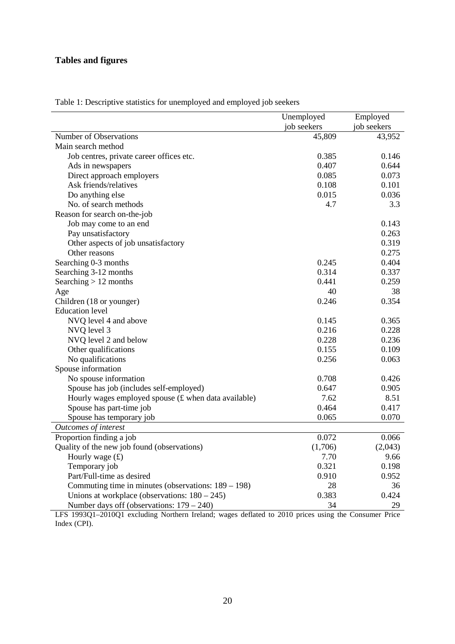### **Tables and figures**

|                                                        | Unemployed  | Employed    |
|--------------------------------------------------------|-------------|-------------|
|                                                        | job seekers | job seekers |
| <b>Number of Observations</b>                          | 45,809      | 43,952      |
| Main search method                                     |             |             |
| Job centres, private career offices etc.               | 0.385       | 0.146       |
| Ads in newspapers                                      | 0.407       | 0.644       |
| Direct approach employers                              | 0.085       | 0.073       |
| Ask friends/relatives                                  | 0.108       | 0.101       |
| Do anything else                                       | 0.015       | 0.036       |
| No. of search methods                                  | 4.7         | 3.3         |
| Reason for search on-the-job                           |             |             |
| Job may come to an end                                 |             | 0.143       |
| Pay unsatisfactory                                     |             | 0.263       |
| Other aspects of job unsatisfactory                    |             | 0.319       |
| Other reasons                                          |             | 0.275       |
| Searching 0-3 months                                   | 0.245       | 0.404       |
| Searching 3-12 months                                  | 0.314       | 0.337       |
| Searching $> 12$ months                                | 0.441       | 0.259       |
| Age                                                    | 40          | 38          |
| Children (18 or younger)                               | 0.246       | 0.354       |
| <b>Education</b> level                                 |             |             |
| NVQ level 4 and above                                  | 0.145       | 0.365       |
| NVQ level 3                                            | 0.216       | 0.228       |
| NVQ level 2 and below                                  | 0.228       | 0.236       |
| Other qualifications                                   | 0.155       | 0.109       |
| No qualifications                                      | 0.256       | 0.063       |
| Spouse information                                     |             |             |
| No spouse information                                  | 0.708       | 0.426       |
| Spouse has job (includes self-employed)                | 0.647       | 0.905       |
| Hourly wages employed spouse (£ when data available)   | 7.62        | 8.51        |
| Spouse has part-time job                               | 0.464       | 0.417       |
| Spouse has temporary job                               | 0.065       | 0.070       |
| <b>Outcomes of interest</b>                            |             |             |
| Proportion finding a job                               | 0.072       | 0.066       |
| Quality of the new job found (observations)            | (1,706)     | (2,043)     |
| Hourly wage $(f)$                                      | 7.70        | 9.66        |
| Temporary job                                          | 0.321       | 0.198       |
| Part/Full-time as desired                              | 0.910       | 0.952       |
| Commuting time in minutes (observations: $189 - 198$ ) | 28          | 36          |
| Unions at workplace (observations: $180 - 245$ )       | 0.383       | 0.424       |
| Number days off (observations: $179 - 240$ )           | 34          | 29          |

Table 1: Descriptive statistics for unemployed and employed job seekers

LFS 1993Q1–2010Q1 excluding Northern Ireland; wages deflated to 2010 prices using the Consumer Price Index (CPI).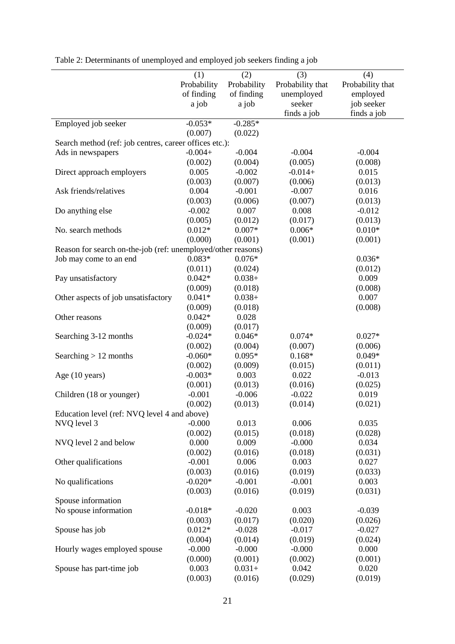|                                                              | (1)<br>Probability<br>of finding<br>a job | (2)<br>Probability<br>of finding<br>a job | (3)<br>Probability that<br>unemployed<br>seeker | (4)<br>Probability that<br>employed<br>job seeker |
|--------------------------------------------------------------|-------------------------------------------|-------------------------------------------|-------------------------------------------------|---------------------------------------------------|
|                                                              |                                           |                                           | finds a job                                     | finds a job                                       |
| Employed job seeker                                          | $-0.053*$                                 | $-0.285*$                                 |                                                 |                                                   |
|                                                              | (0.007)                                   | (0.022)                                   |                                                 |                                                   |
| Search method (ref: job centres, career offices etc.):       |                                           |                                           |                                                 |                                                   |
| Ads in newspapers                                            | $-0.004+$                                 | $-0.004$                                  | $-0.004$                                        | $-0.004$                                          |
|                                                              | (0.002)                                   | (0.004)                                   | (0.005)                                         | (0.008)                                           |
| Direct approach employers                                    | 0.005                                     | $-0.002$                                  | $-0.014+$                                       | 0.015                                             |
|                                                              | (0.003)                                   | (0.007)                                   | (0.006)                                         | (0.013)                                           |
| Ask friends/relatives                                        | 0.004                                     | $-0.001$                                  | $-0.007$                                        | 0.016                                             |
|                                                              | (0.003)                                   | (0.006)                                   | (0.007)                                         | (0.013)                                           |
| Do anything else                                             | $-0.002$                                  | 0.007                                     | 0.008                                           | $-0.012$                                          |
|                                                              | (0.005)                                   | (0.012)                                   | (0.017)                                         | (0.013)                                           |
| No. search methods                                           | $0.012*$                                  | $0.007*$                                  | $0.006*$                                        | $0.010*$                                          |
|                                                              | (0.000)                                   | (0.001)                                   | (0.001)                                         | (0.001)                                           |
| Reason for search on-the-job (ref: unemployed/other reasons) |                                           |                                           |                                                 |                                                   |
| Job may come to an end                                       | $0.083*$                                  | $0.076*$                                  |                                                 | $0.036*$                                          |
|                                                              | (0.011)                                   | (0.024)                                   |                                                 | (0.012)                                           |
| Pay unsatisfactory                                           | $0.042*$                                  | $0.038 +$                                 |                                                 | 0.009                                             |
|                                                              | (0.009)                                   | (0.018)                                   |                                                 | (0.008)                                           |
| Other aspects of job unsatisfactory                          | $0.041*$                                  | $0.038 +$                                 |                                                 | 0.007                                             |
|                                                              | (0.009)                                   | (0.018)                                   |                                                 | (0.008)                                           |
| Other reasons                                                | $0.042*$                                  | 0.028                                     |                                                 |                                                   |
|                                                              | (0.009)                                   | (0.017)                                   |                                                 |                                                   |
| Searching 3-12 months                                        | $-0.024*$                                 | $0.046*$                                  | $0.074*$                                        | $0.027*$                                          |
|                                                              | (0.002)                                   | (0.004)                                   | (0.007)                                         | (0.006)                                           |
| Searching $> 12$ months                                      | $-0.060*$                                 | $0.095*$                                  | $0.168*$                                        | $0.049*$                                          |
|                                                              | (0.002)                                   | (0.009)                                   | (0.015)                                         | (0.011)                                           |
| Age (10 years)                                               | $-0.003*$                                 | 0.003                                     | 0.022                                           | $-0.013$                                          |
|                                                              | (0.001)                                   | (0.013)                                   | (0.016)                                         | (0.025)                                           |
| Children (18 or younger)                                     | $-0.001$                                  | $-0.006$                                  | $-0.022$                                        | 0.019                                             |
|                                                              | (0.002)                                   | (0.013)                                   | (0.014)                                         | (0.021)                                           |
| Education level (ref: NVQ level 4 and above)                 |                                           |                                           |                                                 |                                                   |
| NVQ level 3                                                  | $-0.000$                                  | 0.013                                     | 0.006                                           | 0.035                                             |
|                                                              | (0.002)                                   | (0.015)                                   | (0.018)                                         | (0.028)                                           |
| NVQ level 2 and below                                        | 0.000                                     | 0.009                                     | $-0.000$                                        | 0.034                                             |
|                                                              | (0.002)                                   | (0.016)                                   | (0.018)                                         | (0.031)                                           |
| Other qualifications                                         | $-0.001$                                  | 0.006                                     | 0.003                                           | 0.027                                             |
|                                                              | (0.003)                                   | (0.016)                                   | (0.019)                                         | (0.033)                                           |
| No qualifications                                            | $-0.020*$                                 | $-0.001$                                  | $-0.001$                                        | 0.003                                             |
|                                                              | (0.003)                                   | (0.016)                                   | (0.019)                                         | (0.031)                                           |
| Spouse information                                           |                                           |                                           |                                                 |                                                   |
| No spouse information                                        | $-0.018*$                                 | $-0.020$                                  | 0.003                                           | $-0.039$                                          |
|                                                              | (0.003)                                   | (0.017)                                   | (0.020)                                         | (0.026)                                           |
| Spouse has job                                               | $0.012*$                                  | $-0.028$                                  | $-0.017$                                        | $-0.027$                                          |
|                                                              | (0.004)                                   | (0.014)                                   | (0.019)                                         | (0.024)                                           |
| Hourly wages employed spouse                                 | $-0.000$                                  | $-0.000$                                  | $-0.000$                                        | 0.000                                             |
|                                                              | (0.000)                                   | (0.001)                                   | (0.002)                                         | (0.001)                                           |
| Spouse has part-time job                                     | 0.003                                     | $0.031+$                                  | 0.042                                           | 0.020                                             |
|                                                              | (0.003)                                   | (0.016)                                   | (0.029)                                         | (0.019)                                           |

| Table 2: Determinants of unemployed and employed job seekers finding a job |  |  |  |
|----------------------------------------------------------------------------|--|--|--|
|                                                                            |  |  |  |
|                                                                            |  |  |  |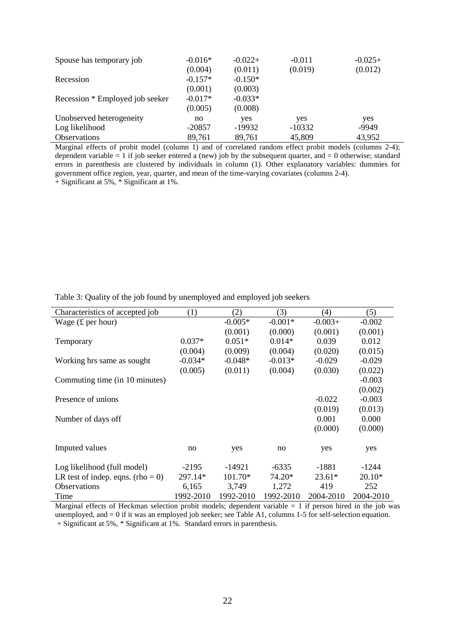| Spouse has temporary job        | $-0.016*$ | $-0.022+$ | $-0.011$ | $-0.025+$ |
|---------------------------------|-----------|-----------|----------|-----------|
|                                 | (0.004)   | (0.011)   | (0.019)  | (0.012)   |
| Recession                       | $-0.157*$ | $-0.150*$ |          |           |
|                                 | (0.001)   | (0.003)   |          |           |
| Recession * Employed job seeker | $-0.017*$ | $-0.033*$ |          |           |
|                                 | (0.005)   | (0.008)   |          |           |
| Unobserved heterogeneity        | no        | yes       | yes      | yes       |
| Log likelihood                  | $-20857$  | $-19932$  | $-10332$ | -9949     |
| <b>Observations</b>             | 89,761    | 89,761    | 45,809   | 43,952    |

Marginal effects of probit model (column 1) and of correlated random effect probit models (columns 2-4); dependent variable  $= 1$  if job seeker entered a (new) job by the subsequent quarter, and  $= 0$  otherwise; standard errors in parenthesis are clustered by individuals in column (1). Other explanatory variables: dummies for government office region, year, quarter, and mean of the time-varying covariates (columns 2-4).

 $+$  Significant at 5%,  $*$  Significant at 1%.

| Characteristics of accepted job   | (1)       | (2)       | (3)       | (4)       | (5)       |
|-----------------------------------|-----------|-----------|-----------|-----------|-----------|
| Wage $(f$ per hour)               |           | $-0.005*$ | $-0.001*$ | $-0.003+$ | $-0.002$  |
|                                   |           | (0.001)   | (0.000)   | (0.001)   | (0.001)   |
| Temporary                         | $0.037*$  | $0.051*$  | $0.014*$  | 0.039     | 0.012     |
|                                   | (0.004)   | (0.009)   | (0.004)   | (0.020)   | (0.015)   |
| Working hrs same as sought        | $-0.034*$ | $-0.048*$ | $-0.013*$ | $-0.029$  | $-0.029$  |
|                                   | (0.005)   | (0.011)   | (0.004)   | (0.030)   | (0.022)   |
| Commuting time (in 10 minutes)    |           |           |           |           | $-0.003$  |
|                                   |           |           |           |           | (0.002)   |
| Presence of unions                |           |           |           | $-0.022$  | $-0.003$  |
|                                   |           |           |           | (0.019)   | (0.013)   |
| Number of days off                |           |           |           | 0.001     | 0.000     |
|                                   |           |           |           | (0.000)   | (0.000)   |
|                                   |           |           |           |           |           |
| Imputed values                    | no        | yes       | no        | yes       | yes       |
| Log likelihood (full model)       | $-2195$   | $-14921$  | $-6335$   | $-1881$   | $-1244$   |
| LR test of indep. eqns. (rho = 0) | 297.14*   | $101.70*$ | 74.20*    | $23.61*$  | $20.10*$  |
| <b>Observations</b>               | 6,165     | 3,749     | 1,272     | 419       | 252       |
| Time                              | 1992-2010 | 1992-2010 | 1992-2010 | 2004-2010 | 2004-2010 |

Table 3: Quality of the job found by unemployed and employed job seekers

Marginal effects of Heckman selection probit models; dependent variable  $= 1$  if person hired in the job was unemployed, and = 0 if it was an employed job seeker; see Table A1, columns 1-5 for self-selection equation. + Significant at 5%, \* Significant at 1%. Standard errors in parenthesis.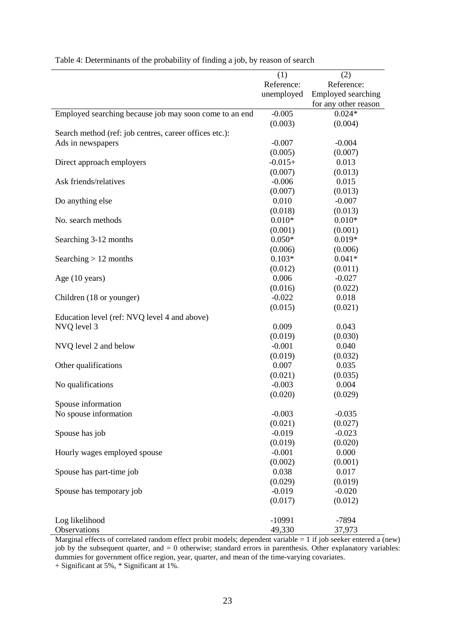|                                                        | (1)                 | (2)                  |
|--------------------------------------------------------|---------------------|----------------------|
|                                                        | Reference:          | Reference:           |
|                                                        | unemployed          | Employed searching   |
|                                                        |                     | for any other reason |
| Employed searching because job may soon come to an end | $-0.005$            | $0.024*$             |
|                                                        | (0.003)             | (0.004)              |
| Search method (ref: job centres, career offices etc.): |                     |                      |
| Ads in newspapers                                      | $-0.007$            | $-0.004$             |
|                                                        | (0.005)             | (0.007)              |
| Direct approach employers                              | $-0.015+$           | 0.013                |
|                                                        | (0.007)             | (0.013)              |
| Ask friends/relatives                                  | $-0.006$            | 0.015                |
|                                                        | (0.007)             | (0.013)              |
|                                                        | 0.010               | $-0.007$             |
| Do anything else                                       |                     |                      |
|                                                        | (0.018)<br>$0.010*$ | (0.013)              |
| No. search methods                                     |                     | $0.010*$             |
|                                                        | (0.001)             | (0.001)              |
| Searching 3-12 months                                  | $0.050*$            | $0.019*$             |
|                                                        | (0.006)             | (0.006)              |
| Searching $> 12$ months                                | $0.103*$            | $0.041*$             |
|                                                        | (0.012)             | (0.011)              |
| Age (10 years)                                         | 0.006               | $-0.027$             |
|                                                        | (0.016)             | (0.022)              |
| Children (18 or younger)                               | $-0.022$            | 0.018                |
|                                                        | (0.015)             | (0.021)              |
| Education level (ref: NVQ level 4 and above)           |                     |                      |
| NVQ level 3                                            | 0.009               | 0.043                |
|                                                        | (0.019)             | (0.030)              |
| NVQ level 2 and below                                  | $-0.001$            | 0.040                |
|                                                        | (0.019)             | (0.032)              |
| Other qualifications                                   | 0.007               | 0.035                |
|                                                        | (0.021)             | (0.035)              |
| No qualifications                                      | $-0.003$            | 0.004                |
|                                                        | (0.020)             | (0.029)              |
| Spouse information                                     |                     |                      |
| No spouse information                                  | $-0.003$            | $-0.035$             |
|                                                        | (0.021)             | (0.027)              |
| Spouse has job                                         | $-0.019$            | $-0.023$             |
|                                                        | (0.019)             | (0.020)              |
| Hourly wages employed spouse                           | $-0.001$            | 0.000                |
|                                                        | (0.002)             | (0.001)              |
| Spouse has part-time job                               | 0.038               | 0.017                |
|                                                        | (0.029)             | (0.019)              |
|                                                        |                     |                      |
| Spouse has temporary job                               | $-0.019$            | $-0.020$             |
|                                                        | (0.017)             | (0.012)              |
|                                                        |                     |                      |
| Log likelihood                                         | $-10991$            | $-7894$              |
| Observations                                           | 49,330              | 37,973               |

Table 4: Determinants of the probability of finding a job, by reason of search

Marginal effects of correlated random effect probit models; dependent variable = 1 if job seeker entered a (new) job by the subsequent quarter, and = 0 otherwise; standard errors in parenthesis. Other explanatory variables: dummies for government office region, year, quarter, and mean of the time-varying covariates.

+ Significant at 5%, \* Significant at 1%.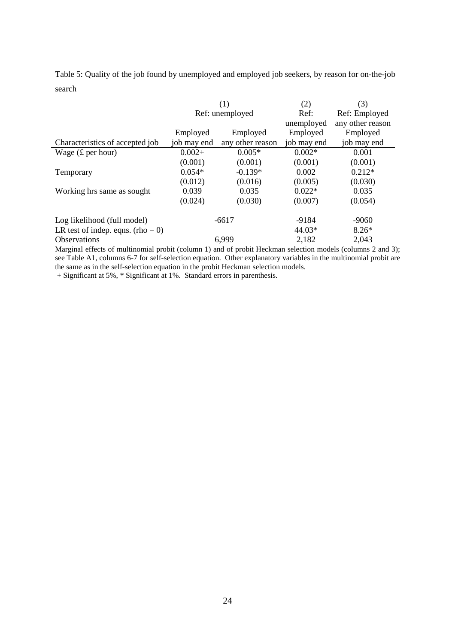|                                   |                       | (1)              | (2)         | (3)              |
|-----------------------------------|-----------------------|------------------|-------------|------------------|
|                                   |                       | Ref: unemployed  | Ref:        | Ref: Employed    |
|                                   |                       |                  | unemployed  | any other reason |
|                                   | Employed              | Employed         | Employed    | Employed         |
| Characteristics of accepted job   | job may end           | any other reason | job may end | job may end      |
| Wage $(f$ per hour)               | $0.005*$<br>$0.002+$  |                  | $0.002*$    | 0.001            |
|                                   | (0.001)<br>(0.001)    |                  | (0.001)     | (0.001)          |
| Temporary                         | $0.054*$<br>$-0.139*$ |                  | 0.002       | $0.212*$         |
|                                   | (0.012)               | (0.016)          | (0.005)     | (0.030)          |
| Working hrs same as sought        | 0.039                 | 0.035            | $0.022*$    | 0.035            |
|                                   | (0.024)               | (0.030)          |             | (0.054)          |
| Log likelihood (full model)       | $-6617$               |                  | -9184       | $-9060$          |
| LR test of indep. eqns. (rho = 0) |                       |                  |             | $8.26*$          |
| <b>Observations</b>               |                       | 6,999            | 2,182       | 2,043            |

Table 5: Quality of the job found by unemployed and employed job seekers, by reason for on-the-job search

Marginal effects of multinomial probit (column 1) and of probit Heckman selection models (columns 2 and 3); see Table A1, columns 6-7 for self-selection equation. Other explanatory variables in the multinomial probit are the same as in the self-selection equation in the probit Heckman selection models.

+ Significant at 5%, \* Significant at 1%. Standard errors in parenthesis.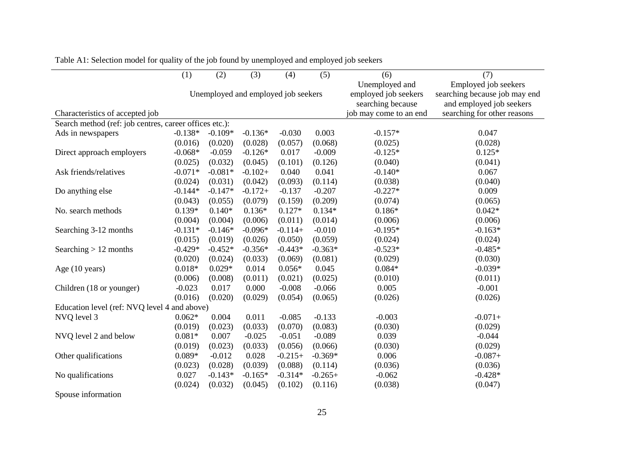|                                                        | (1)                                 | (2)       | (3)       | (4)       | (5)                                                         | (6)                                                                               | (7)                         |
|--------------------------------------------------------|-------------------------------------|-----------|-----------|-----------|-------------------------------------------------------------|-----------------------------------------------------------------------------------|-----------------------------|
|                                                        | Unemployed and employed job seekers |           |           |           | Unemployed and<br>employed job seekers<br>searching because | Employed job seekers<br>searching because job may end<br>and employed job seekers |                             |
| Characteristics of accepted job                        |                                     |           |           |           |                                                             | job may come to an end                                                            | searching for other reasons |
| Search method (ref: job centres, career offices etc.): |                                     |           |           |           |                                                             |                                                                                   |                             |
| Ads in newspapers                                      | $-0.138*$                           | $-0.109*$ | $-0.136*$ | $-0.030$  | 0.003                                                       | $-0.157*$                                                                         | 0.047                       |
|                                                        | (0.016)                             | (0.020)   | (0.028)   | (0.057)   | (0.068)                                                     | (0.025)                                                                           | (0.028)                     |
| Direct approach employers                              | $-0.068*$                           | $-0.059$  | $-0.126*$ | 0.017     | $-0.009$                                                    | $-0.125*$                                                                         | $0.125*$                    |
|                                                        | (0.025)                             | (0.032)   | (0.045)   | (0.101)   | (0.126)                                                     | (0.040)                                                                           | (0.041)                     |
| Ask friends/relatives                                  | $-0.071*$                           | $-0.081*$ | $-0.102+$ | 0.040     | 0.041                                                       | $-0.140*$                                                                         | 0.067                       |
|                                                        | (0.024)                             | (0.031)   | (0.042)   | (0.093)   | (0.114)                                                     | (0.038)                                                                           | (0.040)                     |
| Do anything else                                       | $-0.144*$                           | $-0.147*$ | $-0.172+$ | $-0.137$  | $-0.207$                                                    | $-0.227*$                                                                         | 0.009                       |
|                                                        | (0.043)                             | (0.055)   | (0.079)   | (0.159)   | (0.209)                                                     | (0.074)                                                                           | (0.065)                     |
| No. search methods                                     | $0.139*$                            | $0.140*$  | $0.136*$  | $0.127*$  | $0.134*$                                                    | $0.186*$                                                                          | $0.042*$                    |
|                                                        | (0.004)                             | (0.004)   | (0.006)   | (0.011)   | (0.014)                                                     | (0.006)                                                                           | (0.006)                     |
| Searching 3-12 months                                  | $-0.131*$                           | $-0.146*$ | $-0.096*$ | $-0.114+$ | $-0.010$                                                    | $-0.195*$                                                                         | $-0.163*$                   |
|                                                        | (0.015)                             | (0.019)   | (0.026)   | (0.050)   | (0.059)                                                     | (0.024)                                                                           | (0.024)                     |
| Searching $> 12$ months                                | $-0.429*$                           | $-0.452*$ | $-0.356*$ | $-0.443*$ | $-0.363*$                                                   | $-0.523*$                                                                         | $-0.485*$                   |
|                                                        | (0.020)                             | (0.024)   | (0.033)   | (0.069)   | (0.081)                                                     | (0.029)                                                                           | (0.030)                     |
| Age (10 years)                                         | $0.018*$                            | $0.029*$  | 0.014     | $0.056*$  | 0.045                                                       | $0.084*$                                                                          | $-0.039*$                   |
|                                                        | (0.006)                             | (0.008)   | (0.011)   | (0.021)   | (0.025)                                                     | (0.010)                                                                           | (0.011)                     |
| Children (18 or younger)                               | $-0.023$                            | 0.017     | 0.000     | $-0.008$  | $-0.066$                                                    | 0.005                                                                             | $-0.001$                    |
|                                                        | (0.016)                             | (0.020)   | (0.029)   | (0.054)   | (0.065)                                                     | (0.026)                                                                           | (0.026)                     |
| Education level (ref: NVQ level 4 and above)           |                                     |           |           |           |                                                             |                                                                                   |                             |
| NVQ level 3                                            | $0.062*$                            | 0.004     | 0.011     | $-0.085$  | $-0.133$                                                    | $-0.003$                                                                          | $-0.071+$                   |
|                                                        | (0.019)                             | (0.023)   | (0.033)   | (0.070)   | (0.083)                                                     | (0.030)                                                                           | (0.029)                     |
| NVQ level 2 and below                                  | $0.081*$                            | 0.007     | $-0.025$  | $-0.051$  | $-0.089$                                                    | 0.039                                                                             | $-0.044$                    |
|                                                        | (0.019)                             | (0.023)   | (0.033)   | (0.056)   | (0.066)                                                     | (0.030)                                                                           | (0.029)                     |
| Other qualifications                                   | $0.089*$                            | $-0.012$  | 0.028     | $-0.215+$ | $-0.369*$                                                   | 0.006                                                                             | $-0.087+$                   |
|                                                        | (0.023)                             | (0.028)   | (0.039)   | (0.088)   | (0.114)                                                     | (0.036)                                                                           | (0.036)                     |
| No qualifications                                      | 0.027                               | $-0.143*$ | $-0.165*$ | $-0.314*$ | $-0.265+$                                                   | $-0.062$                                                                          | $-0.428*$                   |
|                                                        | (0.024)                             | (0.032)   | (0.045)   | (0.102)   | (0.116)                                                     | (0.038)                                                                           | (0.047)                     |
| Spouse information                                     |                                     |           |           |           |                                                             |                                                                                   |                             |

Table A1: Selection model for quality of the job found by unemployed and employed job seekers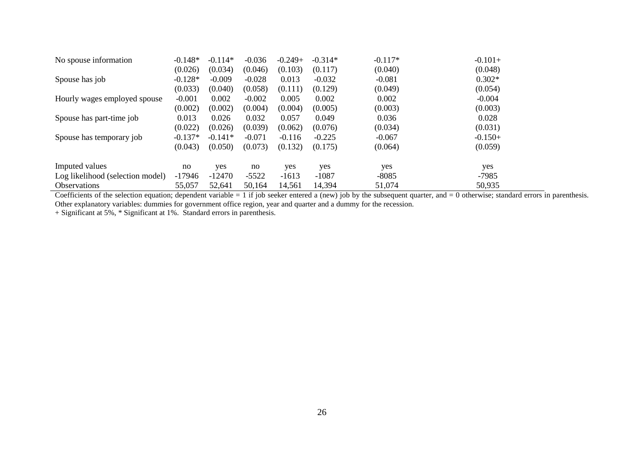| No spouse information            | $-0.148*$ | $-0.114*$ | $-0.036$ | $-0.249+$ | $-0.314*$ | $-0.117*$ | $-0.101+$ |
|----------------------------------|-----------|-----------|----------|-----------|-----------|-----------|-----------|
|                                  | (0.026)   | (0.034)   | (0.046)  | (0.103)   | (0.117)   | (0.040)   | (0.048)   |
| Spouse has job                   | $-0.128*$ | $-0.009$  | $-0.028$ | 0.013     | $-0.032$  | $-0.081$  | $0.302*$  |
|                                  | (0.033)   | (0.040)   | (0.058)  | (0.111)   | (0.129)   | (0.049)   | (0.054)   |
| Hourly wages employed spouse     | $-0.001$  | 0.002     | $-0.002$ | 0.005     | 0.002     | 0.002     | $-0.004$  |
|                                  | (0.002)   | (0.002)   | (0.004)  | (0.004)   | (0.005)   | (0.003)   | (0.003)   |
| Spouse has part-time job         | 0.013     | 0.026     | 0.032    | 0.057     | 0.049     | 0.036     | 0.028     |
|                                  | (0.022)   | (0.026)   | (0.039)  | (0.062)   | (0.076)   | (0.034)   | (0.031)   |
| Spouse has temporary job         | $-0.137*$ | $-0.141*$ | $-0.071$ | $-0.116$  | $-0.225$  | $-0.067$  | $-0.150+$ |
|                                  | (0.043)   | (0.050)   | (0.073)  | (0.132)   | (0.175)   | (0.064)   | (0.059)   |
| Imputed values                   | no        | yes       | no       | yes       | yes       | yes       | yes       |
| Log likelihood (selection model) | $-17946$  | $-12470$  | $-5522$  | $-1613$   | $-1087$   | $-8085$   | $-7985$   |
| <b>Observations</b>              | 55,057    | 52,641    | 50,164   | 14,561    | 14,394    | 51,074    | 50,935    |

Observations  $55,057$   $52,641$   $50,164$   $14,561$   $14,394$   $51,074$   $50,935$ <br>Coefficients of the selection equation; dependent variable = 1 if job seeker entered a (new) job by the subsequent quarter, and = 0 otherwise; st

+ Significant at 5%, \* Significant at 1%. Standard errors in parenthesis.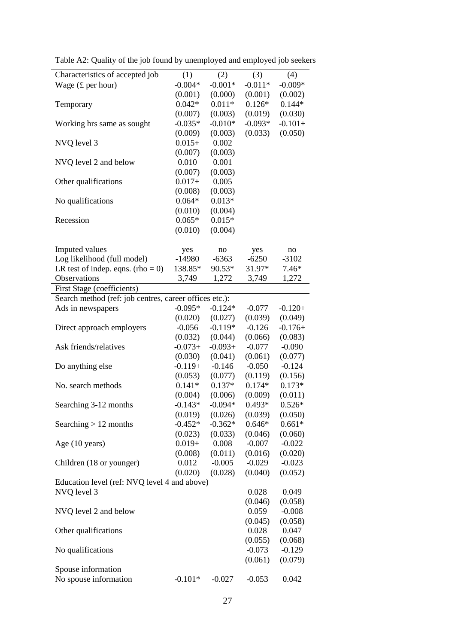| Characteristics of accepted job                        | (1)       | (2)                 | (3)       | (4)                 |
|--------------------------------------------------------|-----------|---------------------|-----------|---------------------|
| Wage $(f$ per hour)                                    | $-0.004*$ | $-0.001*$           | $-0.011*$ | $-0.009*$           |
|                                                        | (0.001)   | (0.000)             | (0.001)   | (0.002)             |
| Temporary                                              | $0.042*$  | $0.011*$            | $0.126*$  | $0.144*$            |
|                                                        | (0.007)   | (0.003)             | (0.019)   | (0.030)             |
| Working hrs same as sought                             | $-0.035*$ | $-0.010*$           | $-0.093*$ | $-0.101+$           |
|                                                        | (0.009)   | (0.003)             | (0.033)   | (0.050)             |
| NVQ level 3                                            | $0.015+$  | 0.002               |           |                     |
|                                                        | (0.007)   | (0.003)             |           |                     |
| NVQ level 2 and below                                  | 0.010     | 0.001               |           |                     |
|                                                        | (0.007)   | (0.003)             |           |                     |
| Other qualifications                                   | $0.017+$  | 0.005               |           |                     |
|                                                        | (0.008)   | (0.003)             |           |                     |
| No qualifications                                      | $0.064*$  | $0.013*$            |           |                     |
|                                                        | (0.010)   | (0.004)             |           |                     |
| Recession                                              | $0.065*$  | $0.015*$            |           |                     |
|                                                        | (0.010)   | (0.004)             |           |                     |
|                                                        |           |                     |           |                     |
| Imputed values                                         | yes       | no                  | yes       | no                  |
| Log likelihood (full model)                            | $-14980$  | $-6363$             | $-6250$   | $-3102$             |
| LR test of indep. eqns. (rho = 0)                      | 138.85*   | 90.53*              | 31.97*    | $7.46*$             |
| Observations                                           | 3,749     | 1,272               | 3,749     | 1,272               |
| First Stage (coefficients)                             |           |                     |           |                     |
| Search method (ref: job centres, career offices etc.): |           |                     |           |                     |
| Ads in newspapers                                      | $-0.095*$ | $-0.124*$           | $-0.077$  | $-0.120+$           |
|                                                        | (0.020)   | (0.027)             | (0.039)   | (0.049)             |
| Direct approach employers                              | $-0.056$  | $-0.119*$           | $-0.126$  | $-0.176+$           |
|                                                        | (0.032)   | (0.044)             | (0.066)   | (0.083)             |
| Ask friends/relatives                                  | $-0.073+$ | $-0.093+$           | $-0.077$  | $-0.090$            |
|                                                        | (0.030)   | (0.041)             | (0.061)   | (0.077)             |
|                                                        | $-0.119+$ | $-0.146$            | $-0.050$  | $-0.124$            |
| Do anything else                                       | (0.053)   |                     | (0.119)   |                     |
| No. search methods                                     | $0.141*$  | (0.077)<br>$0.137*$ | $0.174*$  | (0.156)<br>$0.173*$ |
|                                                        |           | (0.006)             | (0.009)   |                     |
|                                                        | (0.004)   | $-0.094*$           |           | (0.011)<br>$0.526*$ |
| Searching 3-12 months                                  | $-0.143*$ |                     | $0.493*$  |                     |
|                                                        | (0.019)   | (0.026)             | (0.039)   | (0.050)             |
| Searching $> 12$ months                                | $-0.452*$ | $-0.362*$           | $0.646*$  | $0.661*$            |
|                                                        | (0.023)   | (0.033)             | (0.046)   | (0.060)             |
| Age (10 years)                                         | $0.019+$  | 0.008               | $-0.007$  | $-0.022$            |
|                                                        | (0.008)   | (0.011)             | (0.016)   | (0.020)             |
| Children (18 or younger)                               | 0.012     | $-0.005$            | $-0.029$  | $-0.023$            |
|                                                        | (0.020)   | (0.028)             | (0.040)   | (0.052)             |
| Education level (ref: NVQ level 4 and above)           |           |                     |           |                     |
| NVQ level 3                                            |           |                     | 0.028     | 0.049               |
|                                                        |           |                     | (0.046)   | (0.058)             |
| NVQ level 2 and below                                  |           |                     | 0.059     | $-0.008$            |
|                                                        |           |                     | (0.045)   | (0.058)             |
| Other qualifications                                   |           |                     | 0.028     | 0.047               |
|                                                        |           |                     | (0.055)   | (0.068)             |
| No qualifications                                      |           |                     | $-0.073$  | $-0.129$            |
|                                                        |           |                     | (0.061)   | (0.079)             |
| Spouse information                                     |           |                     |           |                     |
| No spouse information                                  | $-0.101*$ | $-0.027$            | $-0.053$  | 0.042               |

Table A2: Quality of the job found by unemployed and employed job seekers